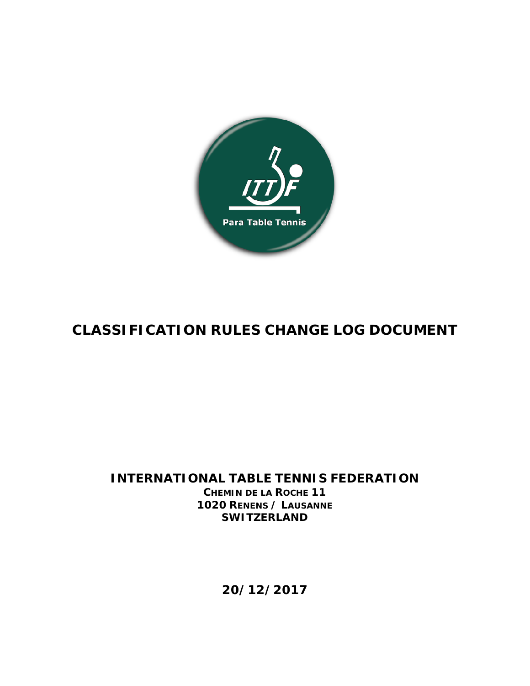

## **CLASSIFICATION RULES CHANGE LOG DOCUMENT**

## **INTERNATIONAL TABLE TENNIS FEDERATION CHEMIN DE LA ROCHE 11 1020 RENENS / LAUSANNE SWITZERLAND**

**20/12/2017**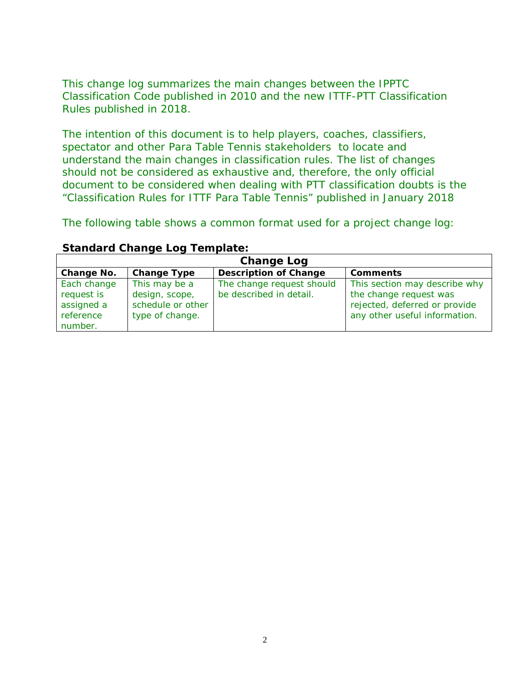This change log summarizes the main changes between the IPPTC Classification Code published in 2010 and the new ITTF-PTT Classification Rules published in 2018.

The intention of this document is to help players, coaches, classifiers, spectator and other Para Table Tennis stakeholders to locate and understand the main changes in classification rules. The list of changes should not be considered as exhaustive and, therefore, the only official document to be considered when dealing with PTT classification doubts is the "Classification Rules for ITTF Para Table Tennis" published in January 2018

The following table shows a common format used for a project change log:

| <b>Change Log</b> |                    |                              |                               |  |  |  |
|-------------------|--------------------|------------------------------|-------------------------------|--|--|--|
| Change No.        | <b>Change Type</b> | <b>Description of Change</b> | <b>Comments</b>               |  |  |  |
| Each change       | This may be a      | The change request should    | This section may describe why |  |  |  |
| request is        | design, scope,     | be described in detail.      | the change request was        |  |  |  |
| assigned a        | schedule or other  |                              | rejected, deferred or provide |  |  |  |
| reference         | type of change.    |                              | any other useful information. |  |  |  |
| number.           |                    |                              |                               |  |  |  |

## **Standard Change Log Template:**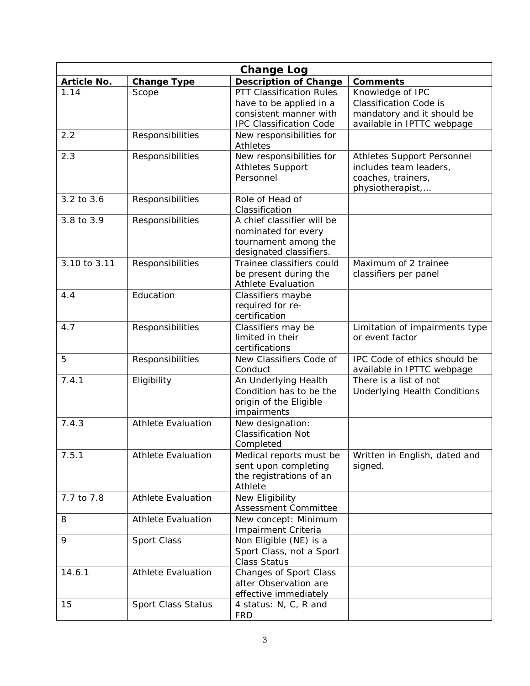| <b>Change Log</b>  |                           |                                                                                                                        |                                                                                                               |  |  |
|--------------------|---------------------------|------------------------------------------------------------------------------------------------------------------------|---------------------------------------------------------------------------------------------------------------|--|--|
| <b>Article No.</b> | <b>Change Type</b>        | <b>Description of Change</b>                                                                                           | <b>Comments</b>                                                                                               |  |  |
| 1.14               | Scope                     | <b>PTT Classification Rules</b><br>have to be applied in a<br>consistent manner with<br><b>IPC Classification Code</b> | Knowledge of IPC<br><b>Classification Code is</b><br>mandatory and it should be<br>available in IPTTC webpage |  |  |
| 2.2                | Responsibilities          | New responsibilities for<br>Athletes                                                                                   |                                                                                                               |  |  |
| 2.3                | Responsibilities          | New responsibilities for<br><b>Athletes Support</b><br>Personnel                                                       | Athletes Support Personnel<br>includes team leaders,<br>coaches, trainers,<br>physiotherapist,                |  |  |
| 3.2 to 3.6         | Responsibilities          | Role of Head of<br>Classification                                                                                      |                                                                                                               |  |  |
| 3.8 to 3.9         | Responsibilities          | A chief classifier will be<br>nominated for every<br>tournament among the<br>designated classifiers.                   |                                                                                                               |  |  |
| 3.10 to 3.11       | Responsibilities          | Trainee classifiers could<br>be present during the<br><b>Athlete Evaluation</b>                                        | Maximum of 2 trainee<br>classifiers per panel                                                                 |  |  |
| 4.4                | Education                 | Classifiers maybe<br>required for re-<br>certification                                                                 |                                                                                                               |  |  |
| 4.7                | Responsibilities          | Classifiers may be<br>limited in their<br>certifications                                                               | Limitation of impairments type<br>or event factor                                                             |  |  |
| 5                  | Responsibilities          | New Classifiers Code of<br>Conduct                                                                                     | IPC Code of ethics should be<br>available in IPTTC webpage                                                    |  |  |
| 7.4.1              | Eligibility               | An Underlying Health<br>Condition has to be the<br>origin of the Eligible<br>impairments                               | There is a list of not<br><b>Underlying Health Conditions</b>                                                 |  |  |
| 7.4.3              | <b>Athlete Evaluation</b> | New designation:<br><b>Classification Not</b><br>Completed                                                             |                                                                                                               |  |  |
| 7.5.1              | <b>Athlete Evaluation</b> | Medical reports must be<br>sent upon completing<br>the registrations of an<br>Athlete                                  | Written in English, dated and<br>signed.                                                                      |  |  |
| 7.7 to 7.8         | <b>Athlete Evaluation</b> | New Eligibility<br>Assessment Committee                                                                                |                                                                                                               |  |  |
| 8                  | <b>Athlete Evaluation</b> | New concept: Minimum<br>Impairment Criteria                                                                            |                                                                                                               |  |  |
| 9                  | Sport Class               | Non Eligible (NE) is a<br>Sport Class, not a Sport<br><b>Class Status</b>                                              |                                                                                                               |  |  |
| 14.6.1             | <b>Athlete Evaluation</b> | Changes of Sport Class<br>after Observation are<br>effective immediately                                               |                                                                                                               |  |  |
| 15                 | Sport Class Status        | 4 status: N, C, R and<br><b>FRD</b>                                                                                    |                                                                                                               |  |  |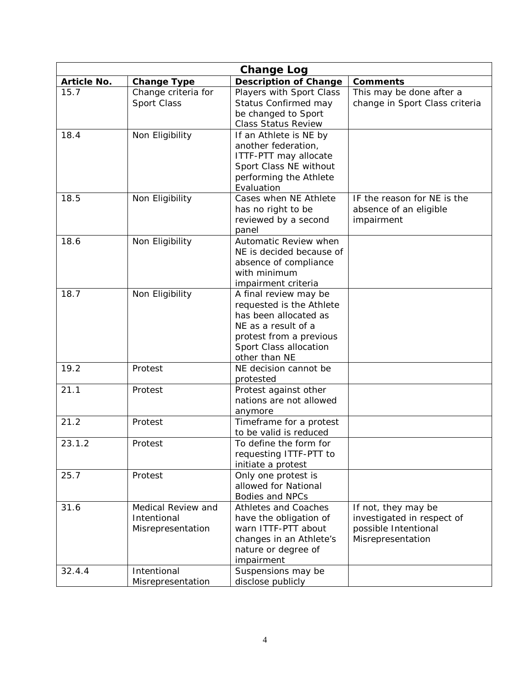| <b>Change Log</b>  |                     |                                           |                                |  |
|--------------------|---------------------|-------------------------------------------|--------------------------------|--|
| <b>Article No.</b> | <b>Change Type</b>  | <b>Description of Change</b>              | <b>Comments</b>                |  |
| 15.7               | Change criteria for | Players with Sport Class                  | This may be done after a       |  |
|                    | Sport Class         | Status Confirmed may                      | change in Sport Class criteria |  |
|                    |                     | be changed to Sport                       |                                |  |
|                    |                     | <b>Class Status Review</b>                |                                |  |
| 18.4               | Non Eligibility     | If an Athlete is NE by                    |                                |  |
|                    |                     | another federation,                       |                                |  |
|                    |                     | ITTF-PTT may allocate                     |                                |  |
|                    |                     | Sport Class NE without                    |                                |  |
|                    |                     | performing the Athlete                    |                                |  |
|                    |                     | Evaluation                                |                                |  |
| 18.5               | Non Eligibility     | Cases when NE Athlete                     | IF the reason for NE is the    |  |
|                    |                     | has no right to be                        | absence of an eligible         |  |
|                    |                     | reviewed by a second<br>panel             | impairment                     |  |
| 18.6               | Non Eligibility     | Automatic Review when                     |                                |  |
|                    |                     | NE is decided because of                  |                                |  |
|                    |                     | absence of compliance                     |                                |  |
|                    |                     | with minimum                              |                                |  |
|                    |                     | impairment criteria                       |                                |  |
| 18.7               | Non Eligibility     | A final review may be                     |                                |  |
|                    |                     | requested is the Athlete                  |                                |  |
|                    |                     | has been allocated as                     |                                |  |
|                    |                     | NE as a result of a                       |                                |  |
|                    |                     | protest from a previous                   |                                |  |
|                    |                     | Sport Class allocation                    |                                |  |
|                    |                     | other than NE                             |                                |  |
| 19.2               | Protest             | NE decision cannot be                     |                                |  |
|                    |                     | protested                                 |                                |  |
| 21.1               | Protest             | Protest against other                     |                                |  |
|                    |                     | nations are not allowed                   |                                |  |
|                    |                     | anymore                                   |                                |  |
| 21.2               | Protest             | Timeframe for a protest                   |                                |  |
|                    |                     | to be valid is reduced                    |                                |  |
| 23.1.2             | Protest             | To define the form for                    |                                |  |
|                    |                     | requesting ITTF-PTT to                    |                                |  |
| 25.7               | Protest             | initiate a protest<br>Only one protest is |                                |  |
|                    |                     | allowed for National                      |                                |  |
|                    |                     | <b>Bodies and NPCs</b>                    |                                |  |
| 31.6               | Medical Review and  | <b>Athletes and Coaches</b>               | If not, they may be            |  |
|                    | Intentional         | have the obligation of                    | investigated in respect of     |  |
|                    | Misrepresentation   | warn ITTF-PTT about                       | possible Intentional           |  |
|                    |                     | changes in an Athlete's                   | Misrepresentation              |  |
|                    |                     | nature or degree of                       |                                |  |
|                    |                     | impairment                                |                                |  |
| 32.4.4             | Intentional         | Suspensions may be                        |                                |  |
|                    | Misrepresentation   | disclose publicly                         |                                |  |